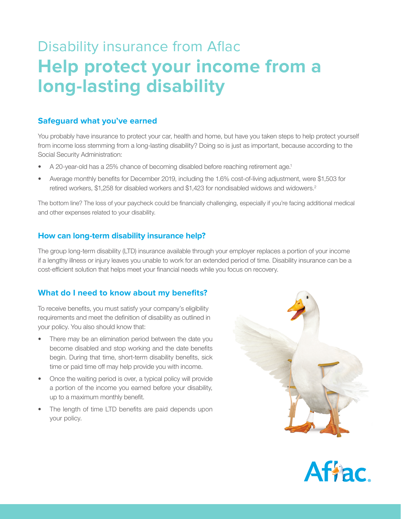# Disability insurance from Aflac **Help protect your income from a long-lasting disability**

### **Safeguard what you've earned**

You probably have insurance to protect your car, health and home, but have you taken steps to help protect yourself from income loss stemming from a long-lasting disability? Doing so is just as important, because according to the Social Security Administration:

- A 20-year-old has a 25% chance of becoming disabled before reaching retirement age.1
- Average monthly benefits for December 2019, including the 1.6% cost-of-living adjustment, were \$1,503 for retired workers, \$1,258 for disabled workers and \$1,423 for nondisabled widows and widowers.<sup>2</sup>

The bottom line? The loss of your paycheck could be financially challenging, especially if you're facing additional medical and other expenses related to your disability.

#### **How can long-term disability insurance help?**

The group long-term disability (LTD) insurance available through your employer replaces a portion of your income if a lengthy illness or injury leaves you unable to work for an extended period of time. Disability insurance can be a cost-efficient solution that helps meet your financial needs while you focus on recovery.

## **What do I need to know about my benefits?**

To receive benefits, you must satisfy your company's eligibility requirements and meet the definition of disability as outlined in your policy. You also should know that:

- There may be an elimination period between the date you become disabled and stop working and the date benefits begin. During that time, short-term disability benefits, sick time or paid time off may help provide you with income.
- Once the waiting period is over, a typical policy will provide a portion of the income you earned before your disability, up to a maximum monthly benefit.
- The length of time LTD benefits are paid depends upon your policy.